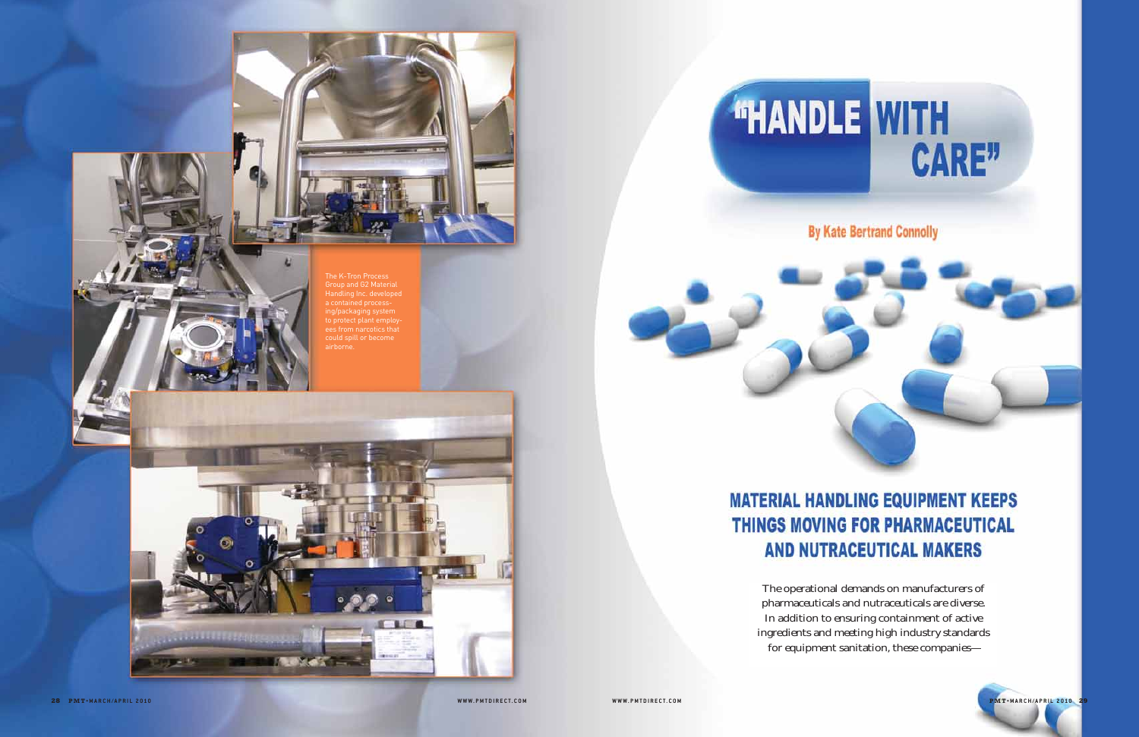

**By Kate Bertrand Connolly** 

The operational demands on manufacturers of pharmaceuticals and nutraceuticals are diverse. In addition to ensuring containment of active ingredients and meeting high industry standards for equipment sanitation, these companies—



The K-Tron Process Group and G2 Material Handling Inc. developed a contained processing/packaging system to protect plant employ-ees from narcotics that could spill or become airborne.

**LAND RESERVED KLONAKE** 

# **MATERIAL HANDLING EQUIPMENT KEEPS THINGS MOVING FOR PHARMACEUTICAL AND NUTRACEUTICAL MAKERS**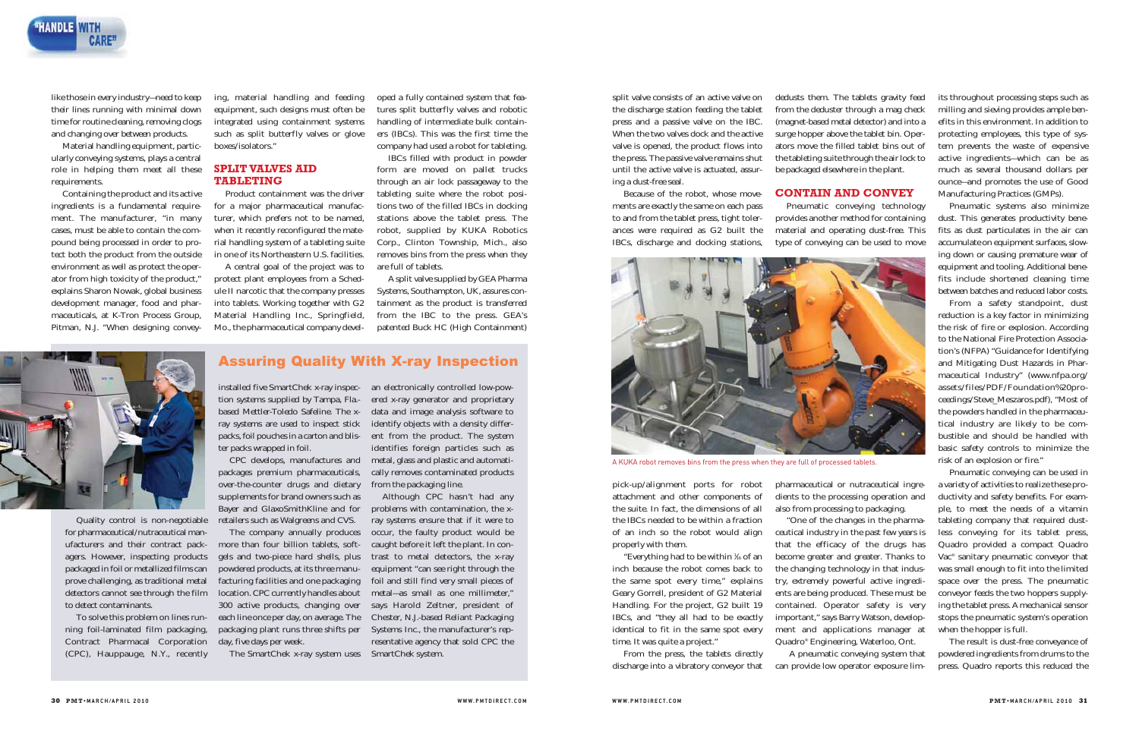

like those in every industry—need to keep their lines running with minimal down time for routine cleaning, removing clogs and changing over between products.

Material handling equipment, particularly conveying systems, plays a central role in helping them meet all these requirements.

Containing the product and its active ingredients is a fundamental requirement. The manufacturer, "in many cases, must be able to contain the compound being processed in order to protect both the product from the outside environment as well as protect the operator from high toxicity of the product," explains Sharon Nowak, global business development manager, food and pharmaceuticals, at K-Tron Process Group, Pitman, N.J. "When designing convey-

ing, material handling and feeding equipment, such designs must often be integrated using containment systems such as split butterfly valves or glove boxes/isolators."

# **SPLIT VALVES AID TABLETING**

Product containment was the driver for a major pharmaceutical manufac turer, which prefers not to be named, when it recently reconfigured the mate rial handling system of a tableting suite in one of its Northeastern U.S. facilities.

A central goal of the project was to protect plant employees from a Sched ule II narcotic that the company presses into tablets. Working together with G2 Material Handling Inc., Springfield,

ing, material handling and feeding oped a fully contained system that fea-<br>equipment, such designs must offen be tures split butterfly valves and robotic<br>integrated using containment systems handling of intermediate bulk c

Quality control is non-negotiable for pharmaceutical/nutraceutical manufacturers and their contract packagers. However, inspecting products packaged in foil or metallized films can prove challenging, as traditional metal detectors cannot see through the film location. CPC currently handles about to detect contaminants.

To solve this problem on lines running foil-laminated film packaging, Contract Pharmacal Corporation (CPC), Hauppauge, N.Y., recently

"Everything had to be within  $\frac{1}{16}$  of an inch because the robot comes back to the same spot every time," explains Geary Gorrell, president of G2 Material Handling. For the project, G2 built 19 IBCs, and "they all had to be exactly identical to fit in the same spot every time. It was quite a project."

installed five SmartChek x-ray inspec-an electronically controlled low-powtion systems supplied by Tampa, Fla. based Mettler-Toledo Safeline. The xray systems are used to inspect stick packs, foil pouches in a carton and blister packs wrapped in foil.

CPC develops, manufactures and packages premium pharmaceuticals, over-the-counter drugs and dietary from the packaging line. supplements for brand owners such as Bayer and GlaxoSmithKline and for retailers such as Walgreens and CVS.

The company annually produces more than four billion tablets, softgels and two-piece hard shells, plus trast to metal detectors, the x-ray powdered products, at its three manufacturing facilities and one packaging ) foil and still find very small pieces of 300 active products, changing over says Harold Zeltner, president of each line once per day, on average. The packaging plant runs three shifts per Systems Inc., the manufacturer's repday, five days per week.

ered x-ray generator and proprietary data and image analysis software to identify objects with a density different from the product. The system identifies foreign particles such as metal, glass and plastic and automatically removes contaminated products

a variety of activities to realize these pro ductivity and safety benefits. For exam ple, to meet the needs of a vitamin tableting company that required dust less conveying for its tablet press, Quadro provided a compact Quadro Vac® sanitary pneumatic conveyor that was small enough to fit into the limited space over the press. The pneumatic conveyor feeds the two hoppers supply ing the tablet press. A mechanical sensor stops the pneumatic system's operation A KUKA robot removes bins from the press when they are full of processed tablets.<br>
ITSK or an exposition of the components of dients to the processing operation and ductrivity and safety benefits. For exame<br>
the suite. In

The SmartChek x-ray system uses SmartChek system.

Although CPC hasn't had any problems with contamination, the xray systems ensure that if it were to occur, the faulty product would be caught before it left the plant. In conequipment "can see right through the metal—as small as one millimeter," Chester, N.J.-based Reliant Packaging resentative agency that sold CPC the

when the hopper is full.<br>The result is dust-free conveyance of powdered ingredients from drums to the

Assuring Quality With X-ray Inspection

split valve consists of an active valve on the discharge station feeding the tablet press and a passive valve on the IBC. When the two valves dock and the active valve is opened, the product flows into the press. The passive valve remains shut until the active valve is actuated, assuring a dust-free seal.

Because of the robot, whose movements are exactly the same on each pass to and from the tablet press, tight tolerances were required as G2 built the IBCs, discharge and docking stations,

pick-up/alignment ports for robot attachment and other components of the suite. In fact, the dimensions of all the IBCs needed to be within a fraction of an inch so the robot would align properly with them.

From the press, the tablets directly discharge into a vibratory conveyor that dedusts them. The tablets gravity feed from the deduster through a mag check (magnet-based metal detector) and into a surge hopper above the tablet bin. Operators move the filled tablet bins out of the tableting suite through the air lock to be packaged elsewhere in the plant.

### **CONTAIN AND CONVEY**



Pneumatic conveying technology provides another method for containing material and operating dust-free. This type of conveying can be used to move

pharmaceutical or nutraceutical ingredients to the processing operation and also from processing to packaging.

"One of the changes in the pharmaceutical industry in the past few years is that the efficacy of the drugs has become greater and greater. Thanks to the changing technology in that industry, extremely powerful active ingredients are being produced. These must be contained. Operator safety is very important," says Barry Watson, development and applications manager at Quadro® Engineering, Waterloo, Ont.

A pneumatic conveying system that can provide low operator exposure limits throughout processing steps such as milling and sieving provides ample ben efits in this environment. In addition to protecting employees, this type of sys tem prevents the waste of expensive active ingredients—which can be as much as several thousand dollars per ounce—and promotes the use of Good Manufacturing Practices (GMPs).

Pneumatic systems also minimize dust. This generates productivity bene fits as dust particulates in the air can accumulate on equipment surfaces, slow ing down or causing premature wear of equipment and tooling. Additional bene fits include shortened cleaning time between batches and reduced labor costs.

From a safety standpoint, dust reduction is a key factor in minimizing the risk of fire or explosion. According to the National Fire Protection Associa tion's (NFPA) "Guidance for Identifying and Mitigating Dust Hazards in Phar maceutical Industry" (www.nfpa.org/ assets/files/PDF/Foundation%20pro ceedings/Steve\_Meszaros.pdf), "Most of the powders handled in the pharmaceu tical industry are likely to be com bustible and should be handled with basic safety controls to minimize the risk of an explosion or fire." Pneumatic conveying can be used in